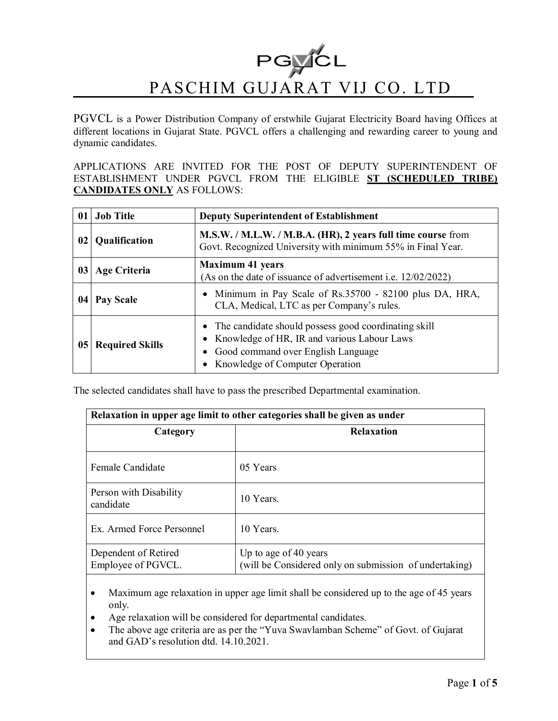

PGVCL is a Power Distribution Company of erstwhile Gujarat Electricity Board having Offices at different locations in Gujarat State. PGVCL offers a challenging and rewarding career to young and dynamic candidates.

APPLICATIONS ARE INVITED FOR THE POST OF DEPUTY SUPERINTENDENT OF ESTABLISHMENT UNDER PGVCL FROM THE ELIGIBLE **ST (SCHEDULED TRIBE) CANDIDATES ONLY** AS FOLLOWS:

| $\mathbf{0}$ | <b>Job Title</b>       | <b>Deputy Superintendent of Establishment</b>                                                                                                                                        |  |
|--------------|------------------------|--------------------------------------------------------------------------------------------------------------------------------------------------------------------------------------|--|
| 02           | Qualification          | M.S.W. / M.L.W. / M.B.A. (HR), 2 years full time course from<br>Govt. Recognized University with minimum 55% in Final Year.                                                          |  |
| 03           | <b>Age Criteria</b>    | <b>Maximum 41 years</b><br>(As on the date of issuance of advertisement <i>i.e.</i> 12/02/2022)                                                                                      |  |
| 04           | Pay Scale              | • Minimum in Pay Scale of Rs.35700 - 82100 plus DA, HRA,<br>CLA, Medical, LTC as per Company's rules.                                                                                |  |
| 05           | <b>Required Skills</b> | • The candidate should possess good coordinating skill<br>• Knowledge of HR, IR and various Labour Laws<br>• Good command over English Language<br>• Knowledge of Computer Operation |  |

The selected candidates shall have to pass the prescribed Departmental examination.

| Relaxation in upper age limit to other categories shall be given as under |                                                                                 |  |  |  |
|---------------------------------------------------------------------------|---------------------------------------------------------------------------------|--|--|--|
| Category                                                                  | <b>Relaxation</b>                                                               |  |  |  |
| Female Candidate                                                          | 05 Years                                                                        |  |  |  |
| Person with Disability<br>candidate                                       | 10 Years                                                                        |  |  |  |
| Ex. Armed Force Personnel                                                 | 10 Years.                                                                       |  |  |  |
| Dependent of Retired<br>Employee of PGVCL.                                | Up to age of 40 years<br>(will be Considered only on submission of undertaking) |  |  |  |

- Maximum age relaxation in upper age limit shall be considered up to the age of 45 years only.
- Age relaxation will be considered for departmental candidates.
- The above age criteria are as per the "Yuva Swavlamban Scheme" of Govt. of Gujarat and GAD's resolution dtd. 14.10.2021.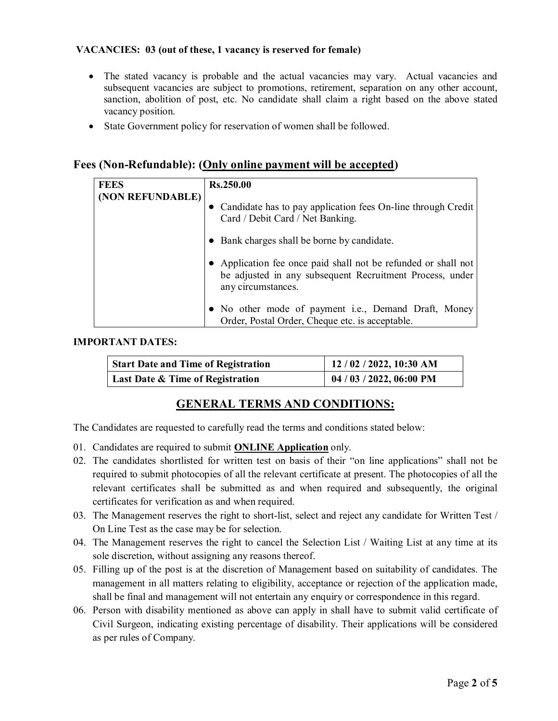### **VACANCIES: 03 (out of these, 1 vacancy is reserved for female)**

- The stated vacancy is probable and the actual vacancies may vary. Actual vacancies and subsequent vacancies are subject to promotions, retirement, separation on any other account, sanction, abolition of post, etc. No candidate shall claim a right based on the above stated vacancy position.
- State Government policy for reservation of women shall be followed.

# **Fees (Non-Refundable): (Only online payment will be accepted)**

| <b>FEES</b>      | Rs.250.00                                                                                                                                      |  |
|------------------|------------------------------------------------------------------------------------------------------------------------------------------------|--|
| (NON REFUNDABLE) | Candidate has to pay application fees On-line through Credit<br>$\bullet$<br>Card / Debit Card / Net Banking.                                  |  |
|                  | • Bank charges shall be borne by candidate.                                                                                                    |  |
|                  | Application fee once paid shall not be refunded or shall not<br>be adjusted in any subsequent Recruitment Process, under<br>any circumstances. |  |
|                  | • No other mode of payment i.e., Demand Draft, Money<br>Order, Postal Order, Cheque etc. is acceptable.                                        |  |

### **IMPORTANT DATES:**

| <b>Start Date and Time of Registration</b> | 12/02/2022, 10:30 AM     |
|--------------------------------------------|--------------------------|
| Last Date & Time of Registration           | 04 / 03 / 2022, 06:00 PM |

## **GENERAL TERMS AND CONDITIONS:**

The Candidates are requested to carefully read the terms and conditions stated below:

- 01. Candidates are required to submit **ONLINE Application** only.
- 02. The candidates shortlisted for written test on basis of their "on line applications" shall not be required to submit photocopies of all the relevant certificate at present. The photocopies of all the relevant certificates shall be submitted as and when required and subsequently, the original certificates for verification as and when required.
- 03. The Management reserves the right to short-list, select and reject any candidate for Written Test / On Line Test as the case may be for selection.
- 04. The Management reserves the right to cancel the Selection List / Waiting List at any time at its sole discretion, without assigning any reasons thereof.
- 05. Filling up of the post is at the discretion of Management based on suitability of candidates. The management in all matters relating to eligibility, acceptance or rejection of the application made, shall be final and management will not entertain any enquiry or correspondence in this regard.
- 06. Person with disability mentioned as above can apply in shall have to submit valid certificate of Civil Surgeon, indicating existing percentage of disability. Their applications will be considered as per rules of Company.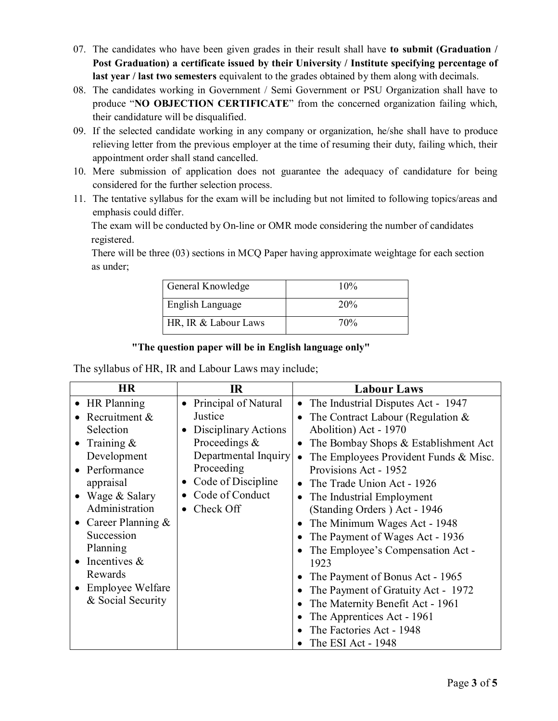- 07. The candidates who have been given grades in their result shall have **to submit (Graduation / Post Graduation) a certificate issued by their University / Institute specifying percentage of last year / last two semesters** equivalent to the grades obtained by them along with decimals.
- 08. The candidates working in Government / Semi Government or PSU Organization shall have to produce "**NO OBJECTION CERTIFICATE**" from the concerned organization failing which, their candidature will be disqualified.
- 09. If the selected candidate working in any company or organization, he/she shall have to produce relieving letter from the previous employer at the time of resuming their duty, failing which, their appointment order shall stand cancelled.
- 10. Mere submission of application does not guarantee the adequacy of candidature for being considered for the further selection process.
- 11. The tentative syllabus for the exam will be including but not limited to following topics/areas and emphasis could differ.

 The exam will be conducted by On-line or OMR mode considering the number of candidates registered.

There will be three (03) sections in MCQ Paper having approximate weightage for each section as under;

| General Knowledge    | 10% |
|----------------------|-----|
| English Language     | 20% |
| HR, IR & Labour Laws | 70% |

### **"The question paper will be in English language only"**

The syllabus of HR, IR and Labour Laws may include;

| <b>HR</b>               | $\mathbf{I}$ R       | <b>Labour Laws</b>                              |
|-------------------------|----------------------|-------------------------------------------------|
| $\bullet$ HR Planning   | Principal of Natural | The Industrial Disputes Act - 1947<br>$\bullet$ |
| Recruitment &           | Justice              | The Contract Labour (Regulation $\&$            |
| Selection               | Disciplinary Actions | Abolition) Act - 1970                           |
| Training $\&$           | Proceedings $\&$     | The Bombay Shops & Establishment Act            |
| Development             | Departmental Inquiry | The Employees Provident Funds & Misc.           |
| Performance             | Proceeding           | Provisions Act - 1952                           |
| appraisal               | • Code of Discipline | The Trade Union Act - 1926                      |
| Wage & Salary           | Code of Conduct      | The Industrial Employment                       |
| Administration          | $\bullet$ Check Off  | (Standing Orders) Act - 1946                    |
| Career Planning $\&$    |                      | The Minimum Wages Act - 1948                    |
| Succession              |                      | The Payment of Wages Act - 1936                 |
| Planning                |                      | The Employee's Compensation Act -               |
| Incentives $\&$         |                      | 1923                                            |
| Rewards                 |                      | The Payment of Bonus Act - 1965                 |
| <b>Employee Welfare</b> |                      | The Payment of Gratuity Act - 1972              |
| & Social Security       |                      | The Maternity Benefit Act - 1961                |
|                         |                      | The Apprentices Act - 1961                      |
|                         |                      | The Factories Act - 1948                        |
|                         |                      | The ESI Act - 1948                              |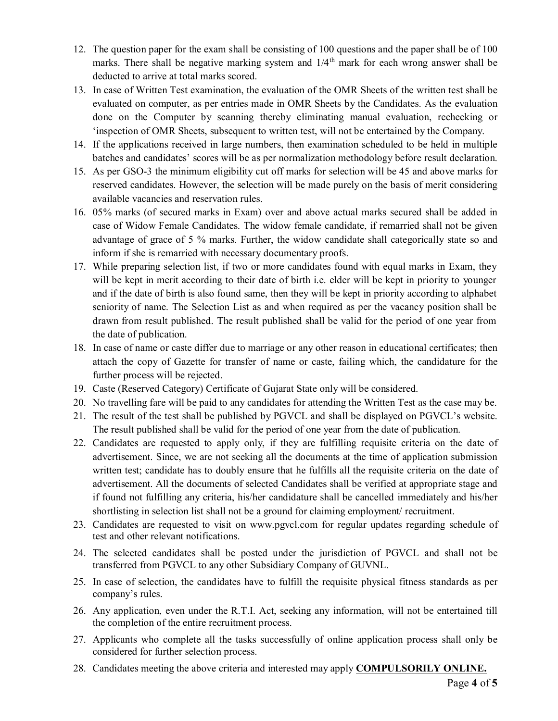- 12. The question paper for the exam shall be consisting of 100 questions and the paper shall be of 100 marks. There shall be negative marking system and  $1/4<sup>th</sup>$  mark for each wrong answer shall be deducted to arrive at total marks scored.
- 13. In case of Written Test examination, the evaluation of the OMR Sheets of the written test shall be evaluated on computer, as per entries made in OMR Sheets by the Candidates. As the evaluation done on the Computer by scanning thereby eliminating manual evaluation, rechecking or 'inspection of OMR Sheets, subsequent to written test, will not be entertained by the Company.
- 14. If the applications received in large numbers, then examination scheduled to be held in multiple batches and candidates' scores will be as per normalization methodology before result declaration.
- 15. As per GSO-3 the minimum eligibility cut off marks for selection will be 45 and above marks for reserved candidates. However, the selection will be made purely on the basis of merit considering available vacancies and reservation rules.
- 16. 05% marks (of secured marks in Exam) over and above actual marks secured shall be added in case of Widow Female Candidates. The widow female candidate, if remarried shall not be given advantage of grace of 5 % marks. Further, the widow candidate shall categorically state so and inform if she is remarried with necessary documentary proofs.
- 17. While preparing selection list, if two or more candidates found with equal marks in Exam, they will be kept in merit according to their date of birth i.e. elder will be kept in priority to younger and if the date of birth is also found same, then they will be kept in priority according to alphabet seniority of name. The Selection List as and when required as per the vacancy position shall be drawn from result published. The result published shall be valid for the period of one year from the date of publication.
- 18. In case of name or caste differ due to marriage or any other reason in educational certificates; then attach the copy of Gazette for transfer of name or caste, failing which, the candidature for the further process will be rejected.
- 19. Caste (Reserved Category) Certificate of Gujarat State only will be considered.
- 20. No travelling fare will be paid to any candidates for attending the Written Test as the case may be.
- 21. The result of the test shall be published by PGVCL and shall be displayed on PGVCL's website. The result published shall be valid for the period of one year from the date of publication.
- 22. Candidates are requested to apply only, if they are fulfilling requisite criteria on the date of advertisement. Since, we are not seeking all the documents at the time of application submission written test; candidate has to doubly ensure that he fulfills all the requisite criteria on the date of advertisement. All the documents of selected Candidates shall be verified at appropriate stage and if found not fulfilling any criteria, his/her candidature shall be cancelled immediately and his/her shortlisting in selection list shall not be a ground for claiming employment/ recruitment.
- 23. Candidates are requested to visit on [www.pgvcl.com](http://www.pgvcl.com) for regular updates regarding schedule of test and other relevant notifications.
- 24. The selected candidates shall be posted under the jurisdiction of PGVCL and shall not be transferred from PGVCL to any other Subsidiary Company of GUVNL.
- 25. In case of selection, the candidates have to fulfill the requisite physical fitness standards as per company's rules.
- 26. Any application, even under the R.T.I. Act, seeking any information, will not be entertained till the completion of the entire recruitment process.
- 27. Applicants who complete all the tasks successfully of online application process shall only be considered for further selection process.
- 28. Candidates meeting the above criteria and interested may apply **COMPULSORILY ONLINE.**